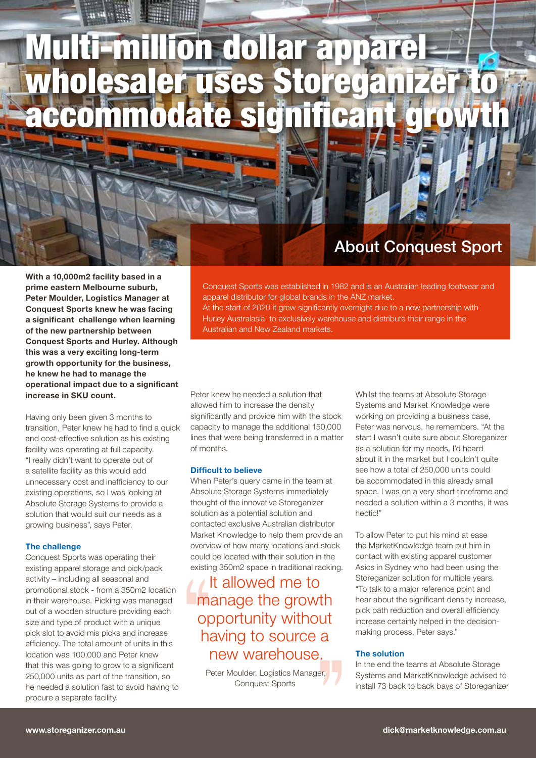# Multi-million dollar apparel wholesaler uses Storeganize ccommodate significan

### About Conquest Sport

Conquest Sports was established in 1982 and is an Australian leading footwear and

At the start of 2020 it grew significantly overnight due to a new partnership with Hurley Australasia to exclusively warehouse and distribute their range in the

With a 10,000m2 facility based in a prime eastern Melbourne suburb, Peter Moulder, Logistics Manager at Conquest Sports knew he was facing a significant challenge when learning of the new partnership between Conquest Sports and Hurley. Although this was a very exciting long-term growth opportunity for the business, he knew he had to manage the operational impact due to a significant increase in SKU count.

Having only been given 3 months to transition, Peter knew he had to find a quick and cost-effective solution as his existing facility was operating at full capacity. "I really didn't want to operate out of a satellite facility as this would add unnecessary cost and inefficiency to our existing operations, so I was looking at Absolute Storage Systems to provide a solution that would suit our needs as a growing business", says Peter.

#### **The challenge**

Conquest Sports was operating their existing apparel storage and pick/pack activity – including all seasonal and promotional stock - from a 350m2 location in their warehouse. Picking was managed out of a wooden structure providing each size and type of product with a unique pick slot to avoid mis picks and increase efficiency. The total amount of units in this location was 100,000 and Peter knew that this was going to grow to a significant 250,000 units as part of the transition, so he needed a solution fast to avoid having to procure a separate facility.

Peter knew he needed a solution that allowed him to increase the density significantly and provide him with the stock capacity to manage the additional 150,000 lines that were being transferred in a matter of months.

Australian and New Zealand markets.

apparel distributor for global brands in the ANZ market.

#### **Difficult to believe**

When Peter's query came in the team at Absolute Storage Systems immediately thought of the innovative Storeganizer solution as a potential solution and contacted exclusive Australian distributor Market Knowledge to help them provide an overview of how many locations and stock could be located with their solution in the existing 350m2 space in traditional racking.

### It allowed me to manage the growth opportunity without having to source a new warehouse.

Peter Moulder, Logistics Manager, Conquest Sports

Whilst the teams at Absolute Storage Systems and Market Knowledge were working on providing a business case, Peter was nervous, he remembers. "At the start I wasn't quite sure about Storeganizer as a solution for my needs, I'd heard about it in the market but I couldn't quite see how a total of 250,000 units could be accommodated in this already small space. I was on a very short timeframe and needed a solution within a 3 months, it was hectic!"

To allow Peter to put his mind at ease the MarketKnowledge team put him in contact with existing apparel customer Asics in Sydney who had been using the Storeganizer solution for multiple years. "To talk to a major reference point and hear about the significant density increase, pick path reduction and overall efficiency increase certainly helped in the decisionmaking process, Peter says."

#### **The solution**

In the end the teams at Absolute Storage Systems and MarketKnowledge advised to install 73 back to back bays of Storeganizer